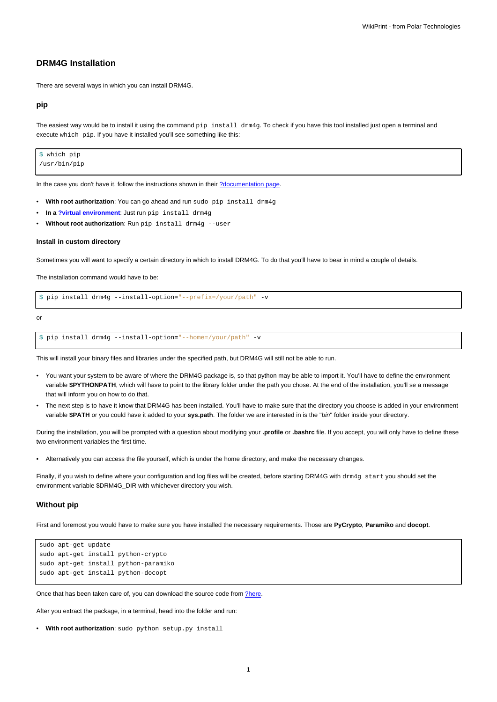# **DRM4G Installation**

There are several ways in which you can install DRM4G.

### **pip**

The easiest way would be to install it using the command pip install drm4g. To check if you have this tool installed just open a terminal and execute which pip. If you have it installed you'll see something like this:

\$ which pip /usr/bin/pip

In the case you don't have it, follow the instructions shown in their [?documentation page](https://pip.pypa.io/en/stable/installing/).

- **With root authorization**: You can go ahead and run sudo pip install drm4g
- **In a [?virtual environment](https://virtualenv.pypa.io/en/stable/|)**: Just run pip install drm4g
- Without root authorization: Run pip install drm4g --user

#### **Install in custom directory**

Sometimes you will want to specify a certain directory in which to install DRM4G. To do that you'll have to bear in mind a couple of details.

The installation command would have to be:

\$ pip install drm4g --install-option**=**"--prefix=/your/path" -v

or

```
$ pip install drm4g --install-option="--home=/your/path" -v
```
This will install your binary files and libraries under the specified path, but DRM4G will still not be able to run.

- You want your system to be aware of where the DRM4G package is, so that python may be able to import it. You'll have to define the environment variable **\$PYTHONPATH**, which will have to point to the library folder under the path you chose. At the end of the installation, you'll se a message that will inform you on how to do that.
- The next step is to have it know that DRM4G has been installed. You'll have to make sure that the directory you choose is added in your environment variable **\$PATH** or you could have it added to your **sys.path**. The folder we are interested in is the "bin" folder inside your directory.

During the installation, you will be prompted with a question about modifying your **.profile** or **.bashrc** file. If you accept, you will only have to define these two environment variables the first time.

• Alternatively you can access the file yourself, which is under the home directory, and make the necessary changes.

Finally, if you wish to define where your configuration and log files will be created, before starting DRM4G with drm4g start you should set the environment variable \$DRM4G\_DIR with whichever directory you wish.

### **Without pip**

First and foremost you would have to make sure you have installed the necessary requirements. Those are **PyCrypto**, **Paramiko** and **docopt**.

```
sudo apt-get update
sudo apt-get install python-crypto
sudo apt-get install python-paramiko
sudo apt-get install python-docopt
```
Once that has been taken care of, you can download the source code from [?here.](https://pypi.python.org/packages/33/67/99226fee402a4725fffefdd8d5102f4520175e60b349f53f734cd6836c2a/drm4g-2.5.0b1.tar.gz#md5=3bbbe1041212696ec0f951a3ec7f56f3)

After you extract the package, in a terminal, head into the folder and run:

```
• With root authorization: sudo python setup.py install
```